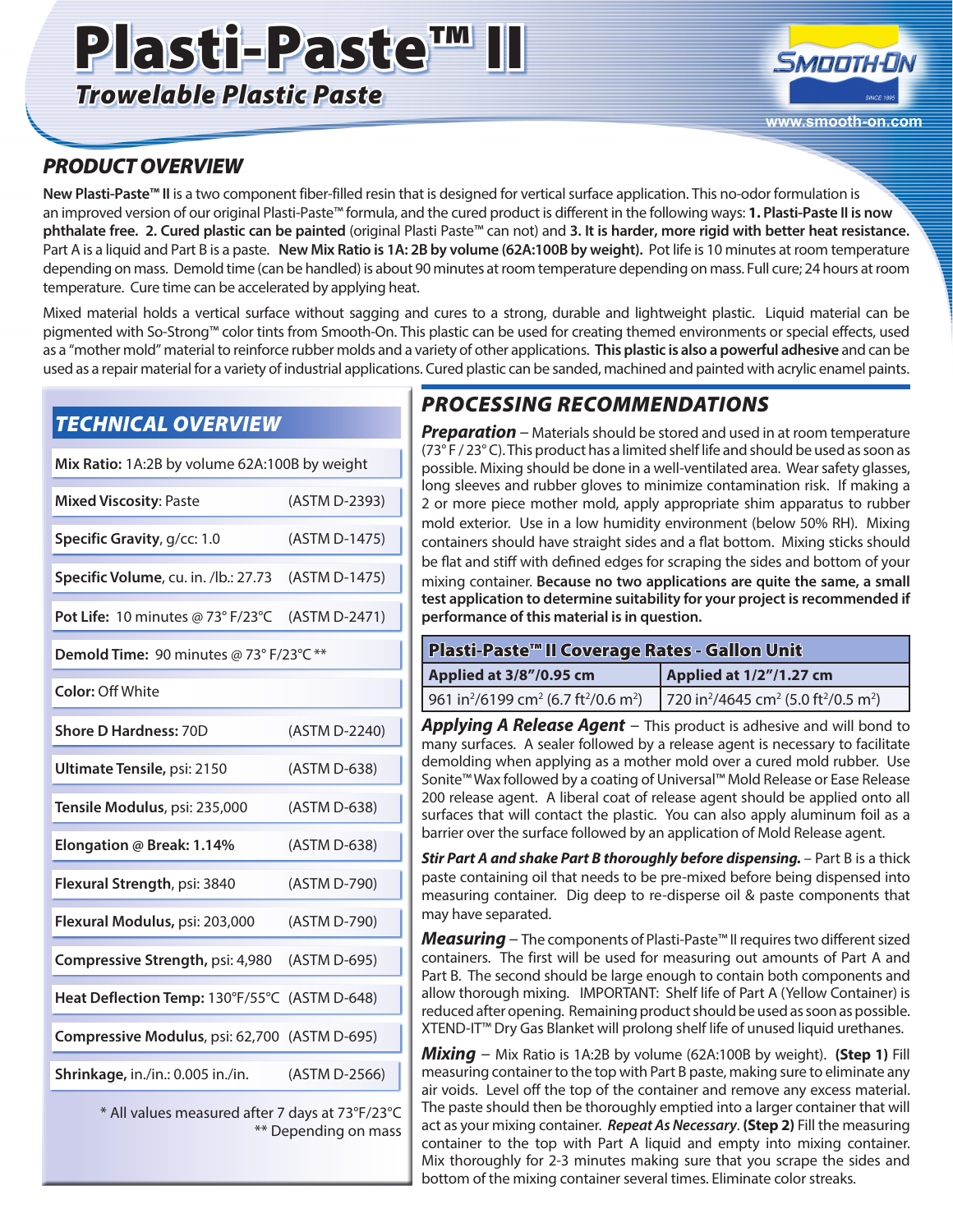# Plasti-Paste™

*Trowelable Plastic Paste*



### *PRODUCT OVERVIEW*

**New Plasti-Paste™ II** is a two component fiber-filled resin that is designed for vertical surface application. This no-odor formulation is an improved version of our original Plasti-Paste™ formula, and the cured product is different in the following ways: **1. Plasti-Paste II is now phthalate free. 2. Cured plastic can be painted** (original Plasti Paste™ can not) and **3. It is harder, more rigid with better heat resistance.** Part A is a liquid and Part B is a paste. **New Mix Ratio is 1A: 2B by volume (62A:100B by weight).** Pot life is 10 minutes at room temperature depending on mass. Demold time (can be handled) is about 90 minutes at room temperature depending on mass. Full cure; 24 hours at room temperature. Cure time can be accelerated by applying heat.

Mixed material holds a vertical surface without sagging and cures to a strong, durable and lightweight plastic. Liquid material can be pigmented with So-Strong™ color tints from Smooth-On. This plastic can be used for creating themed environments or special effects, used as a "mother mold" material to reinforce rubber molds and a variety of other applications. **This plastic is also a powerful adhesive** and can be used as a repair material for a variety of industrial applications. Cured plastic can be sanded, machined and painted with acrylic enamel paints.

### *TECHNICAL OVERVIEW*

| Mix Ratio: 1A:2B by volume 62A:100B by weight |               |
|-----------------------------------------------|---------------|
| <b>Mixed Viscosity: Paste</b>                 | (ASTM D-2393) |
| Specific Gravity, g/cc: 1.0                   | (ASTM D-1475) |
| Specific Volume, cu. in. /lb.: 27.73          | (ASTM D-1475) |
| Pot Life: 10 minutes @ 73° F/23°C             | (ASTM D-2471) |
| Demold Time: 90 minutes @ 73° F/23°C **       |               |
| <b>Color: Off White</b>                       |               |
| <b>Shore D Hardness: 70D</b>                  | (ASTM D-2240) |
| Ultimate Tensile, psi: 2150                   | (ASTM D-638)  |
| Tensile Modulus, psi: 235,000                 | (ASTM D-638)  |
| Elongation @ Break: 1.14%                     | (ASTM D-638)  |
| Flexural Strength, psi: 3840                  | (ASTM D-790)  |
| Flexural Modulus, psi: 203,000                | (ASTM D-790)  |
| Compressive Strength, psi: 4,980              | (ASTM D-695)  |
| Heat Deflection Temp: 130°F/55°C              | (ASTM D-648)  |
| Compressive Modulus, psi: 62,700 (ASTM D-695) |               |
| Shrinkage, in./in.: 0.005 in./in.             | (ASTM D-2566) |

\* All values measured after 7 days at 73°F/23°C \*\* Depending on mass

## *PROCESSING RECOMMENDATIONS*

**Preparation** – Materials should be stored and used in at room temperature (73° F / 23° C). This product has a limited shelf life and should be used as soon as possible. Mixing should be done in a well-ventilated area. Wear safety glasses, long sleeves and rubber gloves to minimize contamination risk. If making a 2 or more piece mother mold, apply appropriate shim apparatus to rubber mold exterior. Use in a low humidity environment (below 50% RH). Mixing containers should have straight sides and a flat bottom. Mixing sticks should be flat and stiff with defined edges for scraping the sides and bottom of your mixing container. **Because no two applications are quite the same, a small test application to determine suitability for your project is recommended if performance of this material is in question.**

| Plasti-Paste™ II Coverage Rates - Gallon Unit                                        |                                                                                      |
|--------------------------------------------------------------------------------------|--------------------------------------------------------------------------------------|
| Applied at 3/8"/0.95 cm                                                              | Applied at 1/2"/1.27 cm                                                              |
| 961 in <sup>2</sup> /6199 cm <sup>2</sup> (6.7 ft <sup>2</sup> /0.6 m <sup>2</sup> ) | 720 in <sup>2</sup> /4645 cm <sup>2</sup> (5.0 ft <sup>2</sup> /0.5 m <sup>2</sup> ) |

*Applying A Release Agent* – This product is adhesive and will bond to many surfaces. A sealer followed by a release agent is necessary to facilitate demolding when applying as a mother mold over a cured mold rubber. Use Sonite™ Wax followed by a coating of Universal™ Mold Release or Ease Release 200 release agent. A liberal coat of release agent should be applied onto all surfaces that will contact the plastic. You can also apply aluminum foil as a barrier over the surface followed by an application of Mold Release agent.

**Stir Part A and shake Part B thoroughly before dispensing.** – Part B is a thick paste containing oil that needs to be pre-mixed before being dispensed into measuring container. Dig deep to re-disperse oil & paste components that may have separated.

*Measuring* – The components of Plasti-Paste™ II requires two different sized containers. The first will be used for measuring out amounts of Part A and Part B. The second should be large enough to contain both components and allow thorough mixing. IMPORTANT: Shelf life of Part A (Yellow Container) is reduced after opening. Remaining product should be used as soon as possible. XTEND-IT™ Dry Gas Blanket will prolong shelf life of unused liquid urethanes.

*Mixing* – Mix Ratio is 1A:2B by volume (62A:100B by weight). **(Step 1)** Fill measuring container to the top with Part B paste, making sure to eliminate any air voids. Level off the top of the container and remove any excess material. The paste should then be thoroughly emptied into a larger container that will act as your mixing container. *Repeat As Necessary*. **(Step 2)** Fill the measuring container to the top with Part A liquid and empty into mixing container. Mix thoroughly for 2-3 minutes making sure that you scrape the sides and bottom of the mixing container several times. Eliminate color streaks.